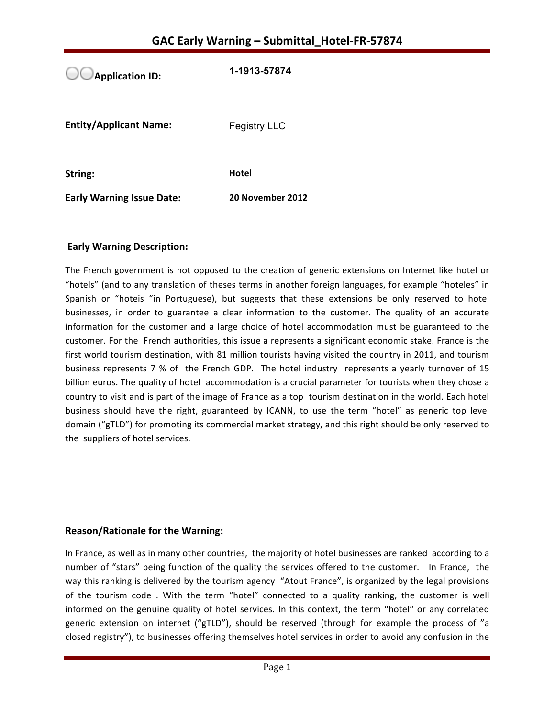**Application ID: 1-1913-57874 Entity/Applicant Name:** Fegistry LLC **String: Hotel** 

**Early Warning Issue Date:** 20 November 2012

## **Early Warning Description:**

The French government is not opposed to the creation of generic extensions on Internet like hotel or "hotels" (and to any translation of theses terms in another foreign languages, for example "hoteles" in Spanish or "hoteis "in Portuguese), but suggests that these extensions be only reserved to hotel businesses, in order to guarantee a clear information to the customer. The quality of an accurate information for the customer and a large choice of hotel accommodation must be guaranteed to the customer. For the French authorities, this issue a represents a significant economic stake. France is the first world tourism destination, with 81 million tourists having visited the country in 2011, and tourism business represents 7 % of the French GDP. The hotel industry represents a yearly turnover of 15 billion euros. The quality of hotel accommodation is a crucial parameter for tourists when they chose a country to visit and is part of the image of France as a top tourism destination in the world. Each hotel business should have the right, guaranteed by ICANN, to use the term "hotel" as generic top level domain ("gTLD") for promoting its commercial market strategy, and this right should be only reserved to the suppliers of hotel services.

#### **Reason/Rationale for the Warning:**

In France, as well as in many other countries, the majority of hotel businesses are ranked according to a number of "stars" being function of the quality the services offered to the customer. In France, the way this ranking is delivered by the tourism agency "Atout France", is organized by the legal provisions of the tourism code. With the term "hotel" connected to a quality ranking, the customer is well informed on the genuine quality of hotel services. In this context, the term "hotel" or any correlated generic extension on internet ("gTLD"), should be reserved (through for example the process of "a closed registry"), to businesses offering themselves hotel services in order to avoid any confusion in the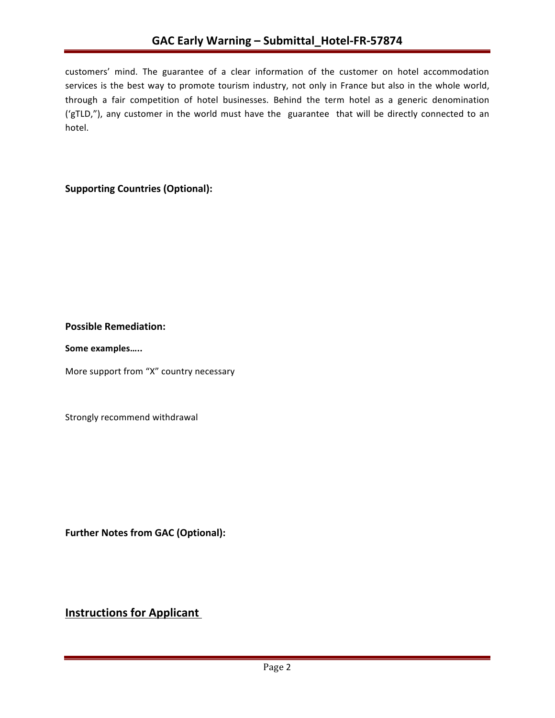customers' mind. The guarantee of a clear information of the customer on hotel accommodation services is the best way to promote tourism industry, not only in France but also in the whole world, through a fair competition of hotel businesses. Behind the term hotel as a generic denomination ('gTLD,"), any customer in the world must have the guarantee that will be directly connected to an hotel. 

## **Supporting Countries (Optional):**

## **Possible Remediation:**

Some examples.....

More support from "X" country necessary

Strongly recommend withdrawal

**Further Notes from GAC (Optional):** 

## **Instructions for Applicant**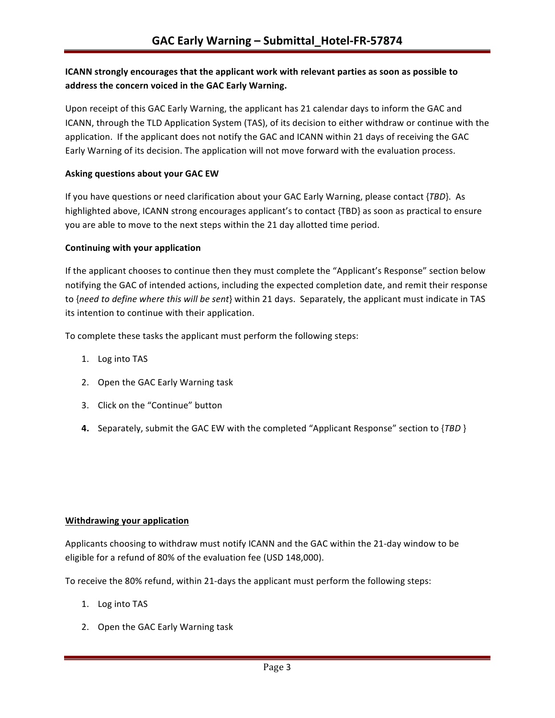## **ICANN** strongly encourages that the applicant work with relevant parties as soon as possible to address the concern voiced in the GAC Early Warning.

Upon receipt of this GAC Early Warning, the applicant has 21 calendar days to inform the GAC and ICANN, through the TLD Application System (TAS), of its decision to either withdraw or continue with the application. If the applicant does not notify the GAC and ICANN within 21 days of receiving the GAC Early Warning of its decision. The application will not move forward with the evaluation process.

#### **Asking questions about your GAC EW**

If you have questions or need clarification about your GAC Early Warning, please contact {*TBD*}. As highlighted above, ICANN strong encourages applicant's to contact {TBD} as soon as practical to ensure you are able to move to the next steps within the 21 day allotted time period.

#### **Continuing with your application**

If the applicant chooses to continue then they must complete the "Applicant's Response" section below notifying the GAC of intended actions, including the expected completion date, and remit their response to {need to define where this will be sent} within 21 days. Separately, the applicant must indicate in TAS its intention to continue with their application.

To complete these tasks the applicant must perform the following steps:

- 1. Log into TAS
- 2. Open the GAC Early Warning task
- 3. Click on the "Continue" button
- **4.** Separately, submit the GAC EW with the completed "Applicant Response" section to {TBD }

#### **Withdrawing your application**

Applicants choosing to withdraw must notify ICANN and the GAC within the 21-day window to be eligible for a refund of 80% of the evaluation fee (USD 148,000).

To receive the 80% refund, within 21-days the applicant must perform the following steps:

- 1. Log into TAS
- 2. Open the GAC Early Warning task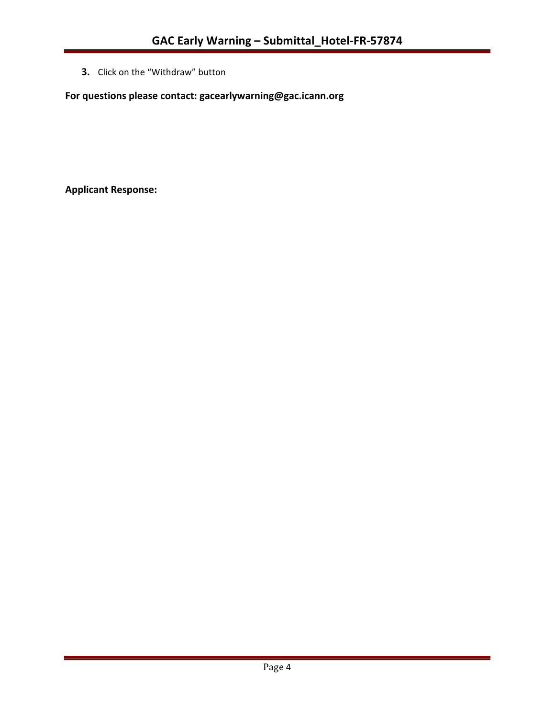**3.** Click on the "Withdraw" button

For questions please contact: gacearlywarning@gac.icann.org

**Applicant Response:**